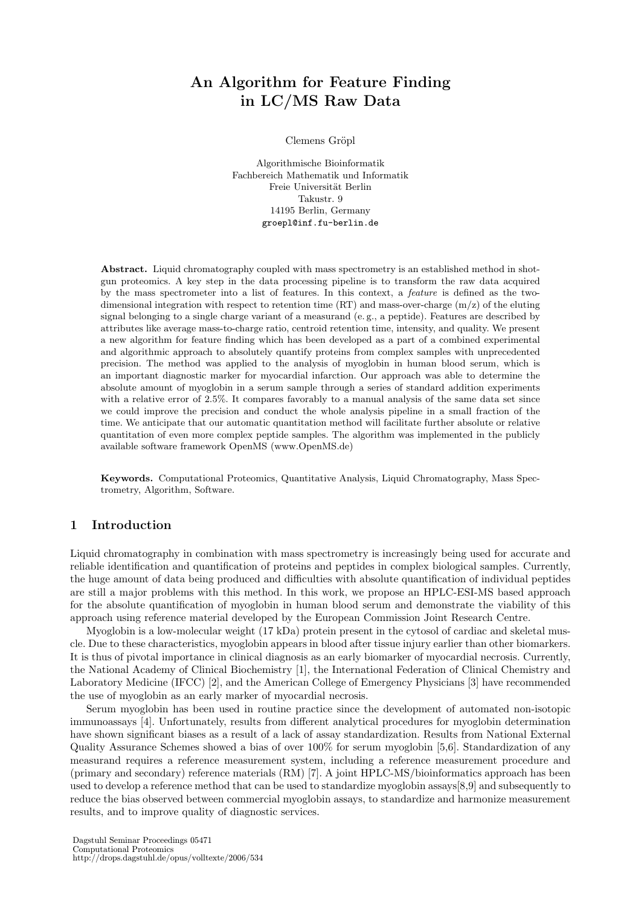# An Algorithm for Feature Finding in LC/MS Raw Data

Clemens Gröpl

Algorithmische Bioinformatik Fachbereich Mathematik und Informatik Freie Universität Berlin Takustr. 9 14195 Berlin, Germany groepl@inf.fu-berlin.de

Abstract. Liquid chromatography coupled with mass spectrometry is an established method in shotgun proteomics. A key step in the data processing pipeline is to transform the raw data acquired by the mass spectrometer into a list of features. In this context, a feature is defined as the twodimensional integration with respect to retention time  $(RT)$  and mass-over-charge  $(m/z)$  of the eluting signal belonging to a single charge variant of a measurand (e. g., a peptide). Features are described by attributes like average mass-to-charge ratio, centroid retention time, intensity, and quality. We present a new algorithm for feature finding which has been developed as a part of a combined experimental and algorithmic approach to absolutely quantify proteins from complex samples with unprecedented precision. The method was applied to the analysis of myoglobin in human blood serum, which is an important diagnostic marker for myocardial infarction. Our approach was able to determine the absolute amount of myoglobin in a serum sample through a series of standard addition experiments with a relative error of 2.5%. It compares favorably to a manual analysis of the same data set since we could improve the precision and conduct the whole analysis pipeline in a small fraction of the time. We anticipate that our automatic quantitation method will facilitate further absolute or relative quantitation of even more complex peptide samples. The algorithm was implemented in the publicly available software framework OpenMS (www.OpenMS.de)

Keywords. Computational Proteomics, Quantitative Analysis, Liquid Chromatography, Mass Spectrometry, Algorithm, Software.

## 1 Introduction

Liquid chromatography in combination with mass spectrometry is increasingly being used for accurate and reliable identification and quantification of proteins and peptides in complex biological samples. Currently, the huge amount of data being produced and difficulties with absolute quantification of individual peptides are still a major problems with this method. In this work, we propose an HPLC-ESI-MS based approach for the absolute quantification of myoglobin in human blood serum and demonstrate the viability of this approach using reference material developed by the European Commission Joint Research Centre.

Myoglobin is a low-molecular weight (17 kDa) protein present in the cytosol of cardiac and skeletal muscle. Due to these characteristics, myoglobin appears in blood after tissue injury earlier than other biomarkers. It is thus of pivotal importance in clinical diagnosis as an early biomarker of myocardial necrosis. Currently, the National Academy of Clinical Biochemistry [\[1\]](#page-6-0), the International Federation of Clinical Chemistry and Laboratory Medicine (IFCC) [\[2\]](#page-6-1), and the American College of Emergency Physicians [\[3\]](#page-6-2) have recommended the use of myoglobin as an early marker of myocardial necrosis.

Serum myoglobin has been used in routine practice since the development of automated non-isotopic immunoassays [\[4\]](#page-6-3). Unfortunately, results from different analytical procedures for myoglobin determination have shown significant biases as a result of a lack of assay standardization. Results from National External Quality Assurance Schemes showed a bias of over 100% for serum myoglobin [\[5](#page-6-4)[,6\]](#page-6-5). Standardization of any measurand requires a reference measurement system, including a reference measurement procedure and (primary and secondary) reference materials (RM) [\[7\]](#page-6-6). A joint HPLC-MS/bioinformatics approach has been used to develop a reference method that can be used to standardize myoglobin assays[\[8](#page-6-7)[,9\]](#page-6-8) and subsequently to reduce the bias observed between commercial myoglobin assays, to standardize and harmonize measurement results, and to improve quality of diagnostic services.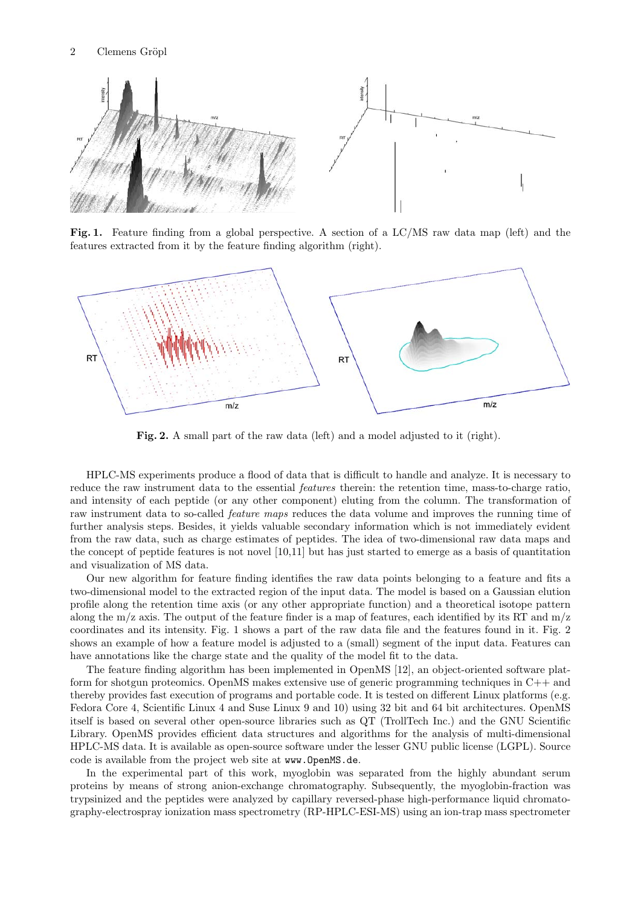

<span id="page-1-0"></span>Fig. 1. Feature finding from a global perspective. A section of a LC/MS raw data map (left) and the features extracted from it by the feature finding algorithm (right).



<span id="page-1-1"></span>Fig. 2. A small part of the raw data (left) and a model adjusted to it (right).

HPLC-MS experiments produce a flood of data that is difficult to handle and analyze. It is necessary to reduce the raw instrument data to the essential features therein: the retention time, mass-to-charge ratio, and intensity of each peptide (or any other component) eluting from the column. The transformation of raw instrument data to so-called *feature maps* reduces the data volume and improves the running time of further analysis steps. Besides, it yields valuable secondary information which is not immediately evident from the raw data, such as charge estimates of peptides. The idea of two-dimensional raw data maps and the concept of peptide features is not novel [\[10,](#page-6-9)[11\]](#page-6-10) but has just started to emerge as a basis of quantitation and visualization of MS data.

Our new algorithm for feature finding identifies the raw data points belonging to a feature and fits a two-dimensional model to the extracted region of the input data. The model is based on a Gaussian elution profile along the retention time axis (or any other appropriate function) and a theoretical isotope pattern along the m/z axis. The output of the feature finder is a map of features, each identified by its RT and  $m/z$ coordinates and its intensity. Fig. [1](#page-1-0) shows a part of the raw data file and the features found in it. Fig. [2](#page-1-1) shows an example of how a feature model is adjusted to a (small) segment of the input data. Features can have annotations like the charge state and the quality of the model fit to the data.

The feature finding algorithm has been implemented in OpenMS [\[12\]](#page-6-11), an object-oriented software platform for shotgun proteomics. OpenMS makes extensive use of generic programming techniques in C++ and thereby provides fast execution of programs and portable code. It is tested on different Linux platforms (e.g. Fedora Core 4, Scientific Linux 4 and Suse Linux 9 and 10) using 32 bit and 64 bit architectures. OpenMS itself is based on several other open-source libraries such as QT (TrollTech Inc.) and the GNU Scientific Library. OpenMS provides efficient data structures and algorithms for the analysis of multi-dimensional HPLC-MS data. It is available as open-source software under the lesser GNU public license (LGPL). Source code is available from the project web site at <www.OpenMS.de>.

In the experimental part of this work, myoglobin was separated from the highly abundant serum proteins by means of strong anion-exchange chromatography. Subsequently, the myoglobin-fraction was trypsinized and the peptides were analyzed by capillary reversed-phase high-performance liquid chromatography-electrospray ionization mass spectrometry (RP-HPLC-ESI-MS) using an ion-trap mass spectrometer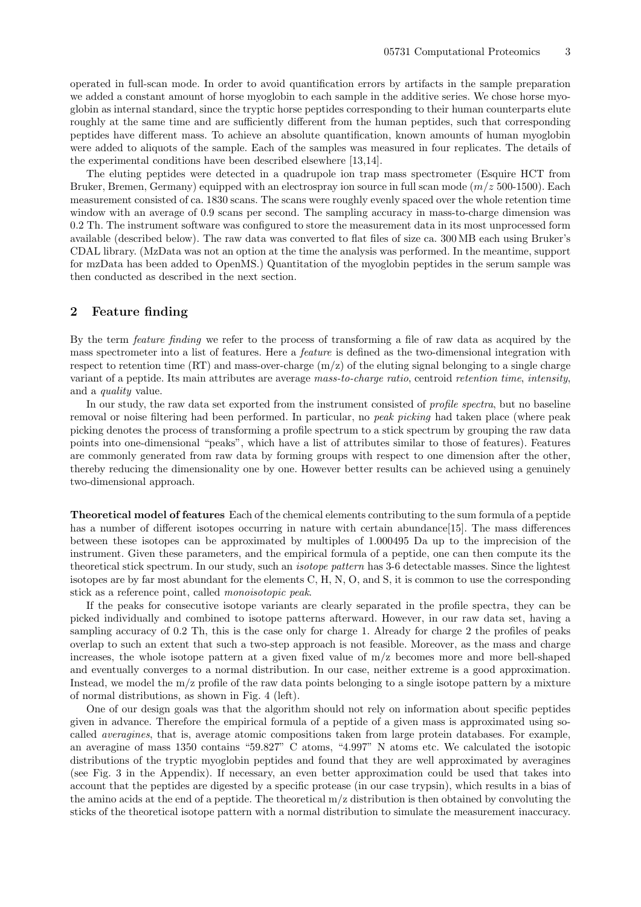operated in full-scan mode. In order to avoid quantification errors by artifacts in the sample preparation we added a constant amount of horse myoglobin to each sample in the additive series. We chose horse myoglobin as internal standard, since the tryptic horse peptides corresponding to their human counterparts elute roughly at the same time and are sufficiently different from the human peptides, such that corresponding peptides have different mass. To achieve an absolute quantification, known amounts of human myoglobin were added to aliquots of the sample. Each of the samples was measured in four replicates. The details of the experimental conditions have been described elsewhere [\[13](#page-8-0)[,14\]](#page-8-1).

The eluting peptides were detected in a quadrupole ion trap mass spectrometer (Esquire HCT from Bruker, Bremen, Germany) equipped with an electrospray ion source in full scan mode  $(m/z 500-1500)$ . Each measurement consisted of ca. 1830 scans. The scans were roughly evenly spaced over the whole retention time window with an average of 0.9 scans per second. The sampling accuracy in mass-to-charge dimension was 0.2 Th. The instrument software was configured to store the measurement data in its most unprocessed form available (described below). The raw data was converted to flat files of size ca. 300 MB each using Bruker's CDAL library. (MzData was not an option at the time the analysis was performed. In the meantime, support for mzData has been added to OpenMS.) Quantitation of the myoglobin peptides in the serum sample was then conducted as described in the next section.

## 2 Feature finding

By the term feature finding we refer to the process of transforming a file of raw data as acquired by the mass spectrometer into a list of features. Here a feature is defined as the two-dimensional integration with respect to retention time  $(RT)$  and mass-over-charge  $(m/z)$  of the eluting signal belonging to a single charge variant of a peptide. Its main attributes are average mass-to-charge ratio, centroid retention time, intensity, and a quality value.

In our study, the raw data set exported from the instrument consisted of *profile spectra*, but no baseline removal or noise filtering had been performed. In particular, no peak picking had taken place (where peak picking denotes the process of transforming a profile spectrum to a stick spectrum by grouping the raw data points into one-dimensional "peaks", which have a list of attributes similar to those of features). Features are commonly generated from raw data by forming groups with respect to one dimension after the other, thereby reducing the dimensionality one by one. However better results can be achieved using a genuinely two-dimensional approach.

Theoretical model of features Each of the chemical elements contributing to the sum formula of a peptide has a number of different isotopes occurring in nature with certain abundance [\[15\]](#page-8-2). The mass differences between these isotopes can be approximated by multiples of 1.000495 Da up to the imprecision of the instrument. Given these parameters, and the empirical formula of a peptide, one can then compute its the theoretical stick spectrum. In our study, such an isotope pattern has 3-6 detectable masses. Since the lightest isotopes are by far most abundant for the elements C, H, N, O, and S, it is common to use the corresponding stick as a reference point, called monoisotopic peak.

If the peaks for consecutive isotope variants are clearly separated in the profile spectra, they can be picked individually and combined to isotope patterns afterward. However, in our raw data set, having a sampling accuracy of 0.2 Th, this is the case only for charge 1. Already for charge 2 the profiles of peaks overlap to such an extent that such a two-step approach is not feasible. Moreover, as the mass and charge increases, the whole isotope pattern at a given fixed value of m/z becomes more and more bell-shaped and eventually converges to a normal distribution. In our case, neither extreme is a good approximation. Instead, we model the  $m/z$  profile of the raw data points belonging to a single isotope pattern by a mixture of normal distributions, as shown in Fig. [4](#page-4-0) (left).

One of our design goals was that the algorithm should not rely on information about specific peptides given in advance. Therefore the empirical formula of a peptide of a given mass is approximated using socalled averagines, that is, average atomic compositions taken from large protein databases. For example, an averagine of mass 1350 contains "59.827" C atoms, "4.997" N atoms etc. We calculated the isotopic distributions of the tryptic myoglobin peptides and found that they are well approximated by averagines (see Fig. [3](#page-3-0) in the Appendix). If necessary, an even better approximation could be used that takes into account that the peptides are digested by a specific protease (in our case trypsin), which results in a bias of the amino acids at the end of a peptide. The theoretical m/z distribution is then obtained by convoluting the sticks of the theoretical isotope pattern with a normal distribution to simulate the measurement inaccuracy.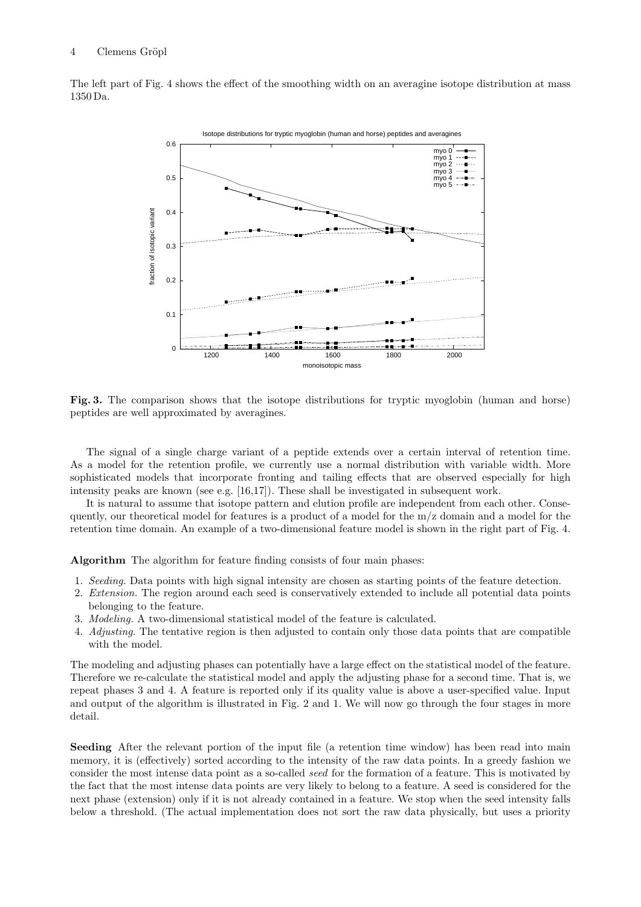The left part of Fig. [4](#page-4-0) shows the effect of the smoothing width on an averagine isotope distribution at mass 1350 Da.



<span id="page-3-0"></span>Fig. 3. The comparison shows that the isotope distributions for tryptic myoglobin (human and horse) peptides are well approximated by averagines.

The signal of a single charge variant of a peptide extends over a certain interval of retention time. As a model for the retention profile, we currently use a normal distribution with variable width. More sophisticated models that incorporate fronting and tailing effects that are observed especially for high intensity peaks are known (see e.g. [\[16,](#page-8-3)[17\]](#page-8-4)). These shall be investigated in subsequent work.

It is natural to assume that isotope pattern and elution profile are independent from each other. Consequently, our theoretical model for features is a product of a model for the m/z domain and a model for the retention time domain. An example of a two-dimensional feature model is shown in the right part of Fig. [4.](#page-4-0)

<span id="page-3-1"></span>Algorithm The algorithm for feature finding consists of four main phases:

- 1. Seeding. Data points with high signal intensity are chosen as starting points of the feature detection.
- 2. Extension. The region around each seed is conservatively extended to include all potential data points belonging to the feature.
- 3. Modeling. A two-dimensional statistical model of the feature is calculated.
- 4. Adjusting. The tentative region is then adjusted to contain only those data points that are compatible with the model.

The modeling and adjusting phases can potentially have a large effect on the statistical model of the feature. Therefore we re-calculate the statistical model and apply the adjusting phase for a second time. That is, we repeat phases 3 and 4. A feature is reported only if its quality value is above a user-specified value. Input and output of the algorithm is illustrated in Fig. [2](#page-1-1) and [1.](#page-1-0) We will now go through the four stages in more detail.

Seeding After the relevant portion of the input file (a retention time window) has been read into main memory, it is (effectively) sorted according to the intensity of the raw data points. In a greedy fashion we consider the most intense data point as a so-called seed for the formation of a feature. This is motivated by the fact that the most intense data points are very likely to belong to a feature. A seed is considered for the next phase (extension) only if it is not already contained in a feature. We stop when the seed intensity falls below a threshold. (The actual implementation does not sort the raw data physically, but uses a priority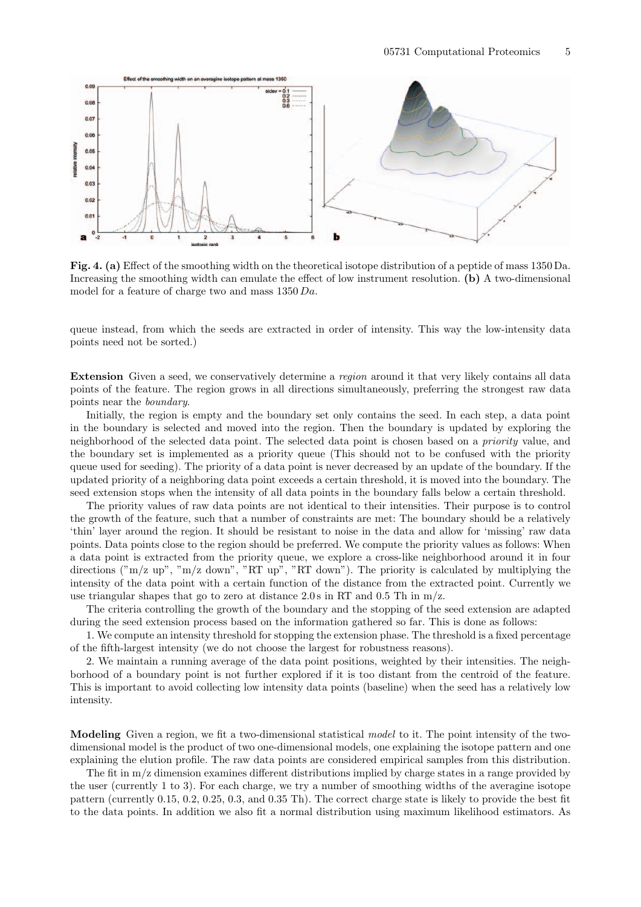

<span id="page-4-0"></span>Fig. 4. (a) Effect of the smoothing width on the theoretical isotope distribution of a peptide of mass 1350 Da. Increasing the smoothing width can emulate the effect of low instrument resolution. (b) A two-dimensional model for a feature of charge two and mass 1350 Da.

queue instead, from which the seeds are extracted in order of intensity. This way the low-intensity data points need not be sorted.)

Extension Given a seed, we conservatively determine a region around it that very likely contains all data points of the feature. The region grows in all directions simultaneously, preferring the strongest raw data points near the boundary.

Initially, the region is empty and the boundary set only contains the seed. In each step, a data point in the boundary is selected and moved into the region. Then the boundary is updated by exploring the neighborhood of the selected data point. The selected data point is chosen based on a priority value, and the boundary set is implemented as a priority queue (This should not to be confused with the priority queue used for seeding). The priority of a data point is never decreased by an update of the boundary. If the updated priority of a neighboring data point exceeds a certain threshold, it is moved into the boundary. The seed extension stops when the intensity of all data points in the boundary falls below a certain threshold.

The priority values of raw data points are not identical to their intensities. Their purpose is to control the growth of the feature, such that a number of constraints are met: The boundary should be a relatively 'thin' layer around the region. It should be resistant to noise in the data and allow for 'missing' raw data points. Data points close to the region should be preferred. We compute the priority values as follows: When a data point is extracted from the priority queue, we explore a cross-like neighborhood around it in four directions ("m/z up", "m/z down", "RT up", "RT down"). The priority is calculated by multiplying the intensity of the data point with a certain function of the distance from the extracted point. Currently we use triangular shapes that go to zero at distance  $2.0 s$  in RT and  $0.5$  Th in m/z.

The criteria controlling the growth of the boundary and the stopping of the seed extension are adapted during the seed extension process based on the information gathered so far. This is done as follows:

1. We compute an intensity threshold for stopping the extension phase. The threshold is a fixed percentage of the fifth-largest intensity (we do not choose the largest for robustness reasons).

2. We maintain a running average of the data point positions, weighted by their intensities. The neighborhood of a boundary point is not further explored if it is too distant from the centroid of the feature. This is important to avoid collecting low intensity data points (baseline) when the seed has a relatively low intensity.

Modeling Given a region, we fit a two-dimensional statistical model to it. The point intensity of the twodimensional model is the product of two one-dimensional models, one explaining the isotope pattern and one explaining the elution profile. The raw data points are considered empirical samples from this distribution.

The fit in m/z dimension examines different distributions implied by charge states in a range provided by the user (currently 1 to 3). For each charge, we try a number of smoothing widths of the averagine isotope pattern (currently 0.15, 0.2, 0.25, 0.3, and 0.35 Th). The correct charge state is likely to provide the best fit to the data points. In addition we also fit a normal distribution using maximum likelihood estimators. As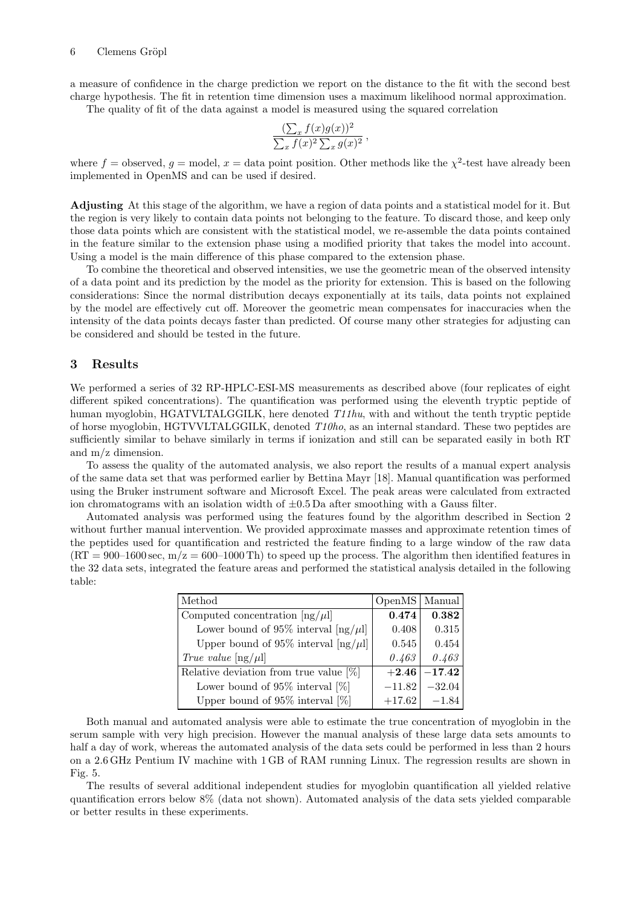a measure of confidence in the charge prediction we report on the distance to the fit with the second best charge hypothesis. The fit in retention time dimension uses a maximum likelihood normal approximation.

The quality of fit of the data against a model is measured using the squared correlation

$$
\frac{(\sum_x f(x)g(x))^2}{\sum_x f(x)^2 \sum_x g(x)^2},
$$

where  $f =$  observed,  $g =$  model,  $x =$  data point position. Other methods like the  $\chi^2$ -test have already been implemented in OpenMS and can be used if desired.

Adjusting At this stage of the algorithm, we have a region of data points and a statistical model for it. But the region is very likely to contain data points not belonging to the feature. To discard those, and keep only those data points which are consistent with the statistical model, we re-assemble the data points contained in the feature similar to the extension phase using a modified priority that takes the model into account. Using a model is the main difference of this phase compared to the extension phase.

To combine the theoretical and observed intensities, we use the geometric mean of the observed intensity of a data point and its prediction by the model as the priority for extension. This is based on the following considerations: Since the normal distribution decays exponentially at its tails, data points not explained by the model are effectively cut off. Moreover the geometric mean compensates for inaccuracies when the intensity of the data points decays faster than predicted. Of course many other strategies for adjusting can be considered and should be tested in the future.

## 3 Results

We performed a series of 32 RP-HPLC-ESI-MS measurements as described above (four replicates of eight different spiked concentrations). The quantification was performed using the eleventh tryptic peptide of human myoglobin, HGATVLTALGGILK, here denoted T11hu, with and without the tenth tryptic peptide of horse myoglobin, HGTVVLTALGGILK, denoted T10ho, as an internal standard. These two peptides are sufficiently similar to behave similarly in terms if ionization and still can be separated easily in both RT and m/z dimension.

To assess the quality of the automated analysis, we also report the results of a manual expert analysis of the same data set that was performed earlier by Bettina Mayr [\[18\]](#page-8-5). Manual quantification was performed using the Bruker instrument software and Microsoft Excel. The peak areas were calculated from extracted ion chromatograms with an isolation width of  $\pm 0.5$  Da after smoothing with a Gauss filter.

Automated analysis was performed using the features found by the algorithm described in Section [2](#page-3-1) without further manual intervention. We provided approximate masses and approximate retention times of the peptides used for quantification and restricted the feature finding to a large window of the raw data  $(RT = 900-1600 \text{ sec}, m/z = 600-1000 \text{ Th})$  to speed up the process. The algorithm then identified features in the 32 data sets, integrated the feature areas and performed the statistical analysis detailed in the following table:

| Method                                                  | OpenMS   | Manual   |
|---------------------------------------------------------|----------|----------|
| Computed concentration $\frac{[ng/\mu]}{[ng/\mu]}$      | 0.474    | 0.382    |
| Lower bound of 95% interval $\frac{[ng/\mu]}{[ng/\mu]}$ | 0.408    | 0.315    |
| Upper bound of 95% interval $\frac{[ng/\mu]}{[ng/\mu]}$ | 0.545    | 0.454    |
| True value $\left[\frac{n g}{\mu}\right]$               | 0.463    | 0.463    |
| Relative deviation from true value $[\%]$               | $+2.46$  | $-17.42$ |
| Lower bound of $95\%$ interval $[\%]$                   | $-11.82$ | $-32.04$ |
| Upper bound of 95% interval [%]                         | $+17.62$ | $-1.84$  |

Both manual and automated analysis were able to estimate the true concentration of myoglobin in the serum sample with very high precision. However the manual analysis of these large data sets amounts to half a day of work, whereas the automated analysis of the data sets could be performed in less than 2 hours on a 2.6 GHz Pentium IV machine with 1 GB of RAM running Linux. The regression results are shown in Fig. [5.](#page-6-12)

The results of several additional independent studies for myoglobin quantification all yielded relative quantification errors below 8% (data not shown). Automated analysis of the data sets yielded comparable or better results in these experiments.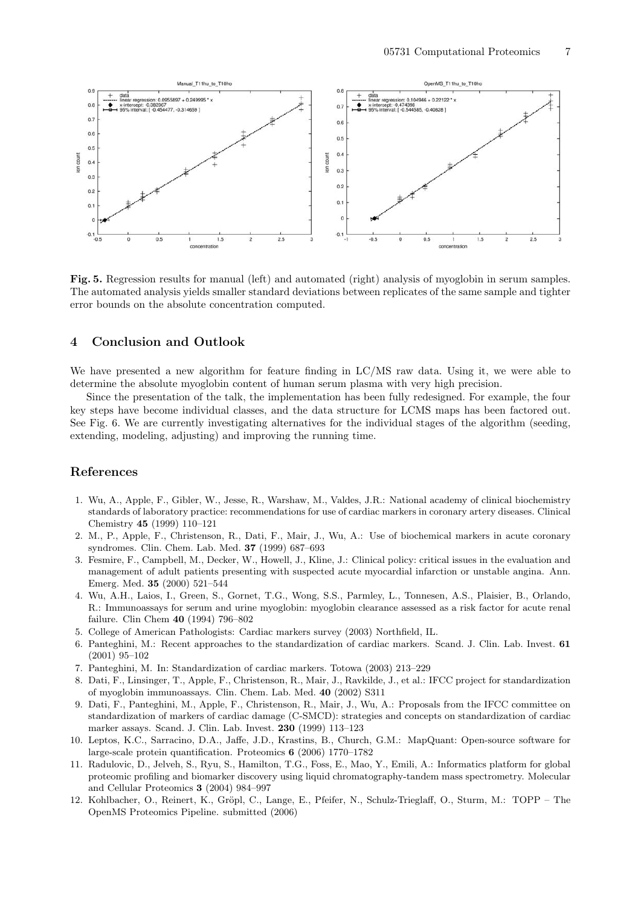

<span id="page-6-12"></span>Fig. 5. Regression results for manual (left) and automated (right) analysis of myoglobin in serum samples. The automated analysis yields smaller standard deviations between replicates of the same sample and tighter error bounds on the absolute concentration computed.

### 4 Conclusion and Outlook

We have presented a new algorithm for feature finding in LC/MS raw data. Using it, we were able to determine the absolute myoglobin content of human serum plasma with very high precision.

Since the presentation of the talk, the implementation has been fully redesigned. For example, the four key steps have become individual classes, and the data structure for LCMS maps has been factored out. See Fig. [6.](#page-7-0) We are currently investigating alternatives for the individual stages of the algorithm (seeding, extending, modeling, adjusting) and improving the running time.

### References

- <span id="page-6-0"></span>1. Wu, A., Apple, F., Gibler, W., Jesse, R., Warshaw, M., Valdes, J.R.: National academy of clinical biochemistry standards of laboratory practice: recommendations for use of cardiac markers in coronary artery diseases. Clinical Chemistry 45 (1999) 110–121
- <span id="page-6-1"></span>2. M., P., Apple, F., Christenson, R., Dati, F., Mair, J., Wu, A.: Use of biochemical markers in acute coronary syndromes. Clin. Chem. Lab. Med. 37 (1999) 687–693
- <span id="page-6-2"></span>3. Fesmire, F., Campbell, M., Decker, W., Howell, J., Kline, J.: Clinical policy: critical issues in the evaluation and management of adult patients presenting with suspected acute myocardial infarction or unstable angina. Ann. Emerg. Med. 35 (2000) 521–544
- <span id="page-6-3"></span>4. Wu, A.H., Laios, I., Green, S., Gornet, T.G., Wong, S.S., Parmley, L., Tonnesen, A.S., Plaisier, B., Orlando, R.: Immunoassays for serum and urine myoglobin: myoglobin clearance assessed as a risk factor for acute renal failure. Clin Chem 40 (1994) 796–802
- <span id="page-6-4"></span>5. College of American Pathologists: Cardiac markers survey (2003) Northfield, IL.
- <span id="page-6-5"></span>6. Panteghini, M.: Recent approaches to the standardization of cardiac markers. Scand. J. Clin. Lab. Invest. 61 (2001) 95–102
- <span id="page-6-6"></span>7. Panteghini, M. In: Standardization of cardiac markers. Totowa (2003) 213–229
- <span id="page-6-7"></span>8. Dati, F., Linsinger, T., Apple, F., Christenson, R., Mair, J., Ravkilde, J., et al.: IFCC project for standardization of myoglobin immunoassays. Clin. Chem. Lab. Med. 40 (2002) S311
- <span id="page-6-8"></span>9. Dati, F., Panteghini, M., Apple, F., Christenson, R., Mair, J., Wu, A.: Proposals from the IFCC committee on standardization of markers of cardiac damage (C-SMCD): strategies and concepts on standardization of cardiac marker assays. Scand. J. Clin. Lab. Invest. 230 (1999) 113–123
- <span id="page-6-9"></span>10. Leptos, K.C., Sarracino, D.A., Jaffe, J.D., Krastins, B., Church, G.M.: MapQuant: Open-source software for large-scale protein quantification. Proteomics 6 (2006) 1770–1782
- <span id="page-6-10"></span>11. Radulovic, D., Jelveh, S., Ryu, S., Hamilton, T.G., Foss, E., Mao, Y., Emili, A.: Informatics platform for global proteomic profiling and biomarker discovery using liquid chromatography-tandem mass spectrometry. Molecular and Cellular Proteomics 3 (2004) 984–997
- <span id="page-6-11"></span>12. Kohlbacher, O., Reinert, K., Gröpl, C., Lange, E., Pfeifer, N., Schulz-Trieglaff, O., Sturm, M.: TOPP – The OpenMS Proteomics Pipeline. submitted (2006)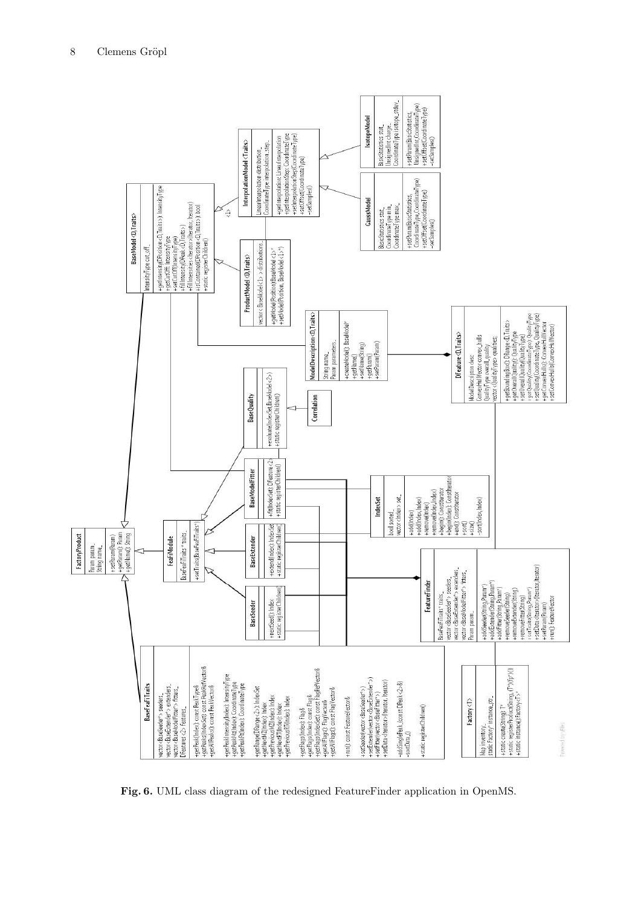

<span id="page-7-0"></span>Fig. 6. UML class diagram of the redesigned FeatureFinder application in OpenMS.